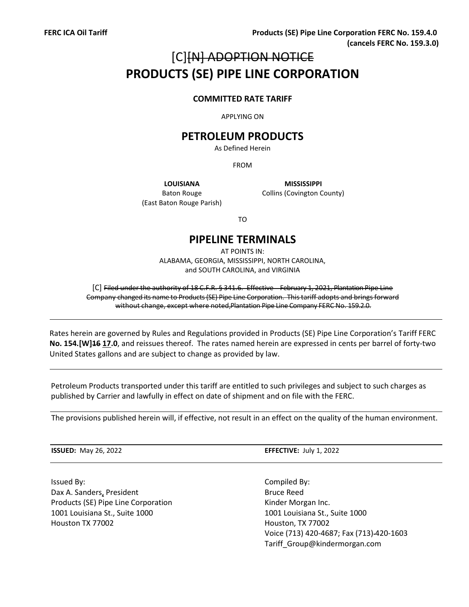# [C][N] ADOPTION NOTICE **PRODUCTS (SE) PIPE LINE CORPORATION**

#### **COMMITTED RATE TARIFF**

APPLYING ON

## **PETROLEUM PRODUCTS**

As Defined Herein

FROM

Baton Rouge (East Baton Rouge Parish)

**LOUISIANA MISSISSIPPI** Collins (Covington County)

TO

### **PIPELINE TERMINALS**

AT POINTS IN: ALABAMA, GEORGIA, MISSISSIPPI, NORTH CAROLINA, and SOUTH CAROLINA, and VIRGINIA

[C] Filed under the authority of 18 C.F.R. § 341.6. Effective February 1, 2021, Plantation Pipe Line Company changed its name to Products (SE) Pipe Line Corporation. Thistariff adopts and bringsforward without change, except where noted,Plantation Pipe Line Company FERC No. 159.2.0.

Rates herein are governed by Rules and Regulations provided in Products (SE) Pipe Line Corporation's Tariff FERC **No. 154.[W]16 17.0**, and reissues thereof. The rates named herein are expressed in cents per barrel of forty-two United States gallons and are subject to change as provided by law.

Petroleum Products transported under this tariff are entitled to such privileges and subject to such charges as published by Carrier and lawfully in effect on date of shipment and on file with the FERC.

The provisions published herein will, if effective, not result in an effect on the quality of the human environment.

Issued By: Compiled By: Dax A. Sanders, President Bruce Reed Products (SE) Pipe Line Corporation The Constantion Rinder Morgan Inc. 1001 Louisiana St., Suite 1000 1001 Louisiana St., Suite 1000 Houston TX 77002 Houston, TX 77002

**ISSUED:** May 26, 2022 **EFFECTIVE:** July 1, 2022

Voice (713) 420-4687; Fax (713) 420-1603 Tariff\_Group@kindermorgan.com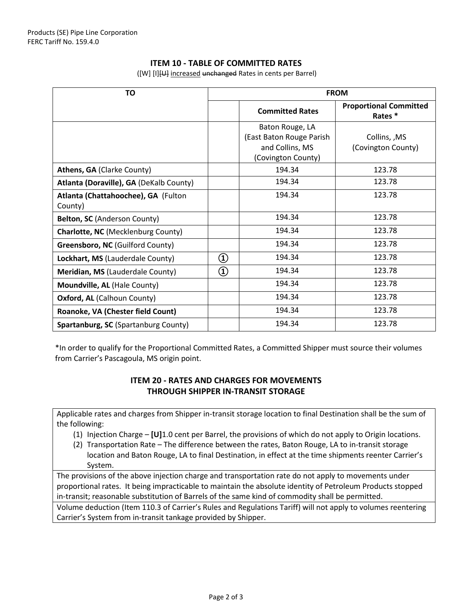#### **ITEM 10 - TABLE OF COMMITTED RATES**

| <b>TO</b>                               |                 | <b>FROM</b>              |                                         |
|-----------------------------------------|-----------------|--------------------------|-----------------------------------------|
|                                         |                 | <b>Committed Rates</b>   | <b>Proportional Committed</b><br>Rates* |
|                                         |                 | Baton Rouge, LA          |                                         |
|                                         |                 | (East Baton Rouge Parish | Collins, , MS                           |
|                                         |                 | and Collins, MS          | (Covington County)                      |
|                                         |                 | (Covington County)       |                                         |
| Athens, GA (Clarke County)              |                 | 194.34                   | 123.78                                  |
| Atlanta (Doraville), GA (DeKalb County) |                 | 194.34                   | 123.78                                  |
| Atlanta (Chattahoochee), GA (Fulton     |                 | 194.34                   | 123.78                                  |
| County)                                 |                 |                          |                                         |
| Belton, SC (Anderson County)            |                 | 194.34                   | 123.78                                  |
| Charlotte, NC (Mecklenburg County)      |                 | 194.34                   | 123.78                                  |
| Greensboro, NC (Guilford County)        |                 | 194.34                   | 123.78                                  |
| Lockhart, MS (Lauderdale County)        | $^\copyright$   | 194.34                   | 123.78                                  |
| Meridian, MS (Lauderdale County)        | $^\mathrm{(1)}$ | 194.34                   | 123.78                                  |
| Moundville, AL (Hale County)            |                 | 194.34                   | 123.78                                  |
| <b>Oxford, AL (Calhoun County)</b>      |                 | 194.34                   | 123.78                                  |
| Roanoke, VA (Chester field Count)       |                 | 194.34                   | 123.78                                  |
| Spartanburg, SC (Spartanburg County)    |                 | 194.34                   | 123.78                                  |

([W] [I][U] increased unchanged Rates in cents per Barrel)

\*In order to qualify for the Proportional Committed Rates, a Committed Shipper must source their volumes from Carrier's Pascagoula, MS origin point.

#### **ITEM 20 - RATES AND CHARGES FOR MOVEMENTS THROUGH SHIPPER IN-TRANSIT STORAGE**

Applicable rates and charges from Shipper in-transit storage location to final Destination shall be the sum of the following:

- (1) Injection Charge **[U]**1.0 cent per Barrel, the provisions of which do not apply to Origin locations.
- (2) Transportation Rate The difference between the rates, Baton Rouge, LA to in-transit storage location and Baton Rouge, LA to final Destination, in effect at the time shipments reenter Carrier's System.

The provisions of the above injection charge and transportation rate do not apply to movements under proportional rates. It being impracticable to maintain the absolute identity of Petroleum Products stopped in-transit; reasonable substitution of Barrels of the same kind of commodity shall be permitted.

Volume deduction (Item 110.3 of Carrier's Rules and Regulations Tariff) will not apply to volumes reentering Carrier's System from in-transit tankage provided by Shipper.